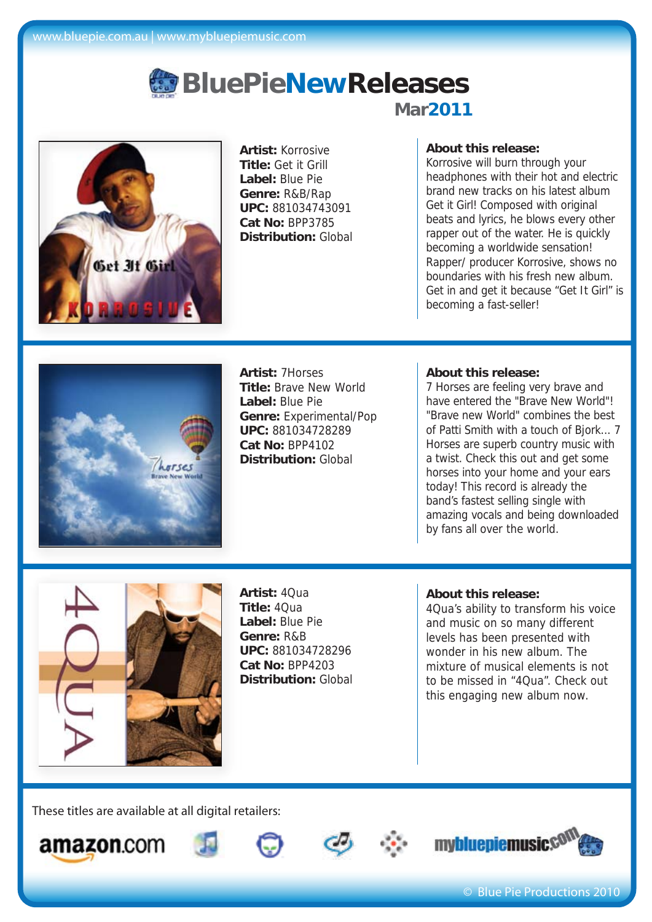

**Artist:** Korrosive **Title:** Get it Grill **Label:** Blue Pie **Genre:** R&B/Rap **UPC:** 881034743091 **Cat No:** BPP3785 **Distribution:** Global

## **About this release:**

Korrosive will burn through your headphones with their hot and electric brand new tracks on his latest album Get it Girl! Composed with original beats and lyrics, he blows every other rapper out of the water. He is quickly becoming a worldwide sensation! Rapper/ producer Korrosive, shows no boundaries with his fresh new album. Get in and get it because "Get It Girl" is becoming a fast-seller!



**Artist:** 7Horses **Title:** Brave New World **Label:** Blue Pie **Genre:** Experimental/Pop **UPC:** 881034728289 **Cat No:** BPP4102 **Distribution:** Global

### **About this release:**

7 Horses are feeling very brave and have entered the "Brave New World"! "Brave new World" combines the best of Patti Smith with a touch of Bjork... 7 Horses are superb country music with a twist. Check this out and get some horses into your home and your ears today! This record is already the band's fastest selling single with amazing vocals and being downloaded by fans all over the world.



**Artist:** 4Qua **Title:** 4Qua **Label:** Blue Pie **Genre:** R&B **UPC:** 881034728296 **Cat No:** BPP4203 **Distribution:** Global

#### **About this release:**

4Qua's ability to transform his voice and music on so many different levels has been presented with wonder in his new album. The mixture of musical elements is not to be missed in "4Qua". Check out this engaging new album now.









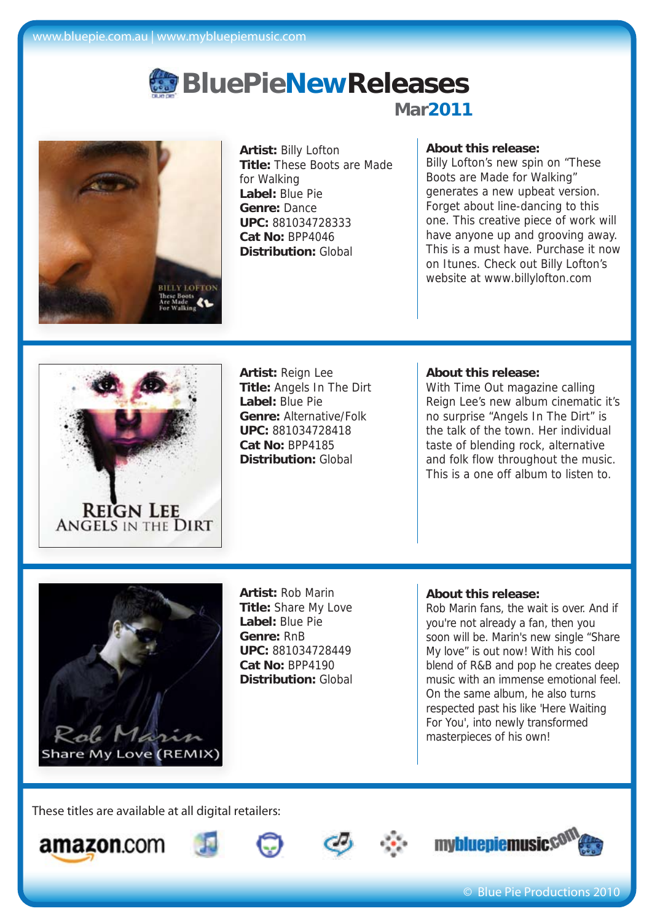

**Artist:** Billy Lofton **Title:** These Boots are Made for Walking **Label:** Blue Pie **Genre:** Dance **UPC:** 881034728333 **Cat No:** BPP4046 **Distribution:** Global

### **About this release:**

Billy Lofton's new spin on "These Boots are Made for Walking" generates a new upbeat version. Forget about line-dancing to this one. This creative piece of work will have anyone up and grooving away. This is a must have. Purchase it now on Itunes. Check out Billy Lofton's website at www.billylofton.com



**Artist:** Reign Lee **Title:** Angels In The Dirt **Label:** Blue Pie **Genre:** Alternative/Folk **UPC:** 881034728418 **Cat No:** BPP4185 **Distribution:** Global

### **About this release:**

With Time Out magazine calling Reign Lee's new album cinematic it's no surprise "Angels In The Dirt" is the talk of the town. Her individual taste of blending rock, alternative and folk flow throughout the music. This is a one off album to listen to.



**Artist:** Rob Marin **Title:** Share My Love **Label:** Blue Pie **Genre:** RnB **UPC:** 881034728449 **Cat No:** BPP4190 **Distribution:** Global

### **About this release:**

Rob Marin fans, the wait is over. And if you're not already a fan, then you soon will be. Marin's new single "Share My love" is out now! With his cool blend of R&B and pop he creates deep music with an immense emotional feel On the same album, he also turns respected past his like 'Here Waiting For You', into newly transformed masterpieces of his own!











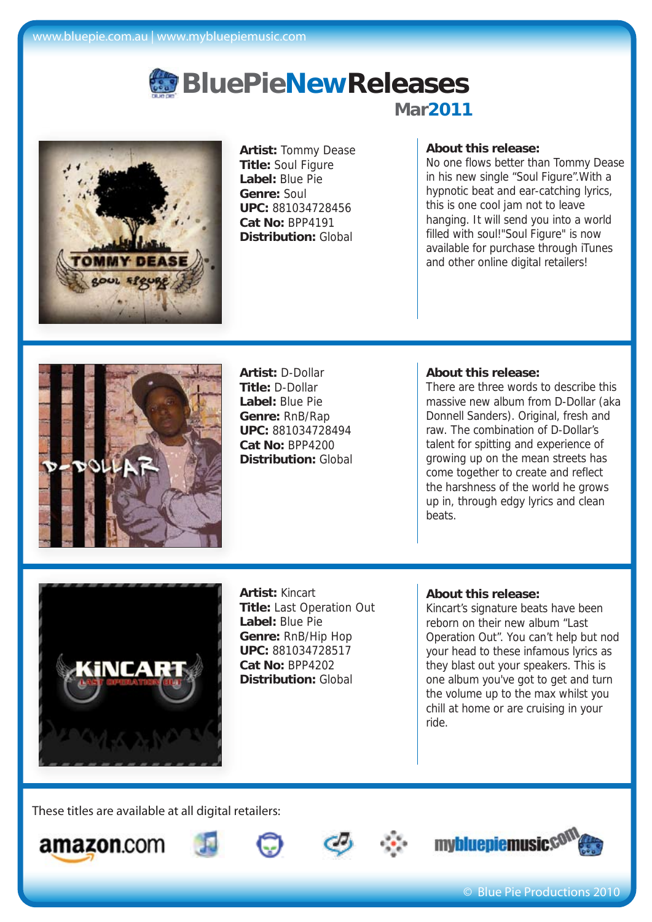

**Artist:** Tommy Dease **Title:** Soul Figure **Label:** Blue Pie **Genre:** Soul **UPC:** 881034728456 **Cat No:** BPP4191 **Distribution:** Global

### **About this release:**

No one flows better than Tommy Dease in his new single "Soul Figure".With a hypnotic beat and ear-catching lyrics, this is one cool jam not to leave hanging. It will send you into a world filled with soul!"Soul Figure" is now available for purchase through iTunes and other online digital retailers!



**Artist:** D-Dollar **Title:** D-Dollar **Label:** Blue Pie **Genre:** RnB/Rap **UPC:** 881034728494 **Cat No:** BPP4200 **Distribution:** Global

### **About this release:**

There are three words to describe this massive new album from D-Dollar (aka Donnell Sanders). Original, fresh and raw. The combination of D-Dollar's talent for spitting and experience of growing up on the mean streets has come together to create and reflect the harshness of the world he grows up in, through edgy lyrics and clean beats.



**Artist:** Kincart **Title:** Last Operation Out **Label:** Blue Pie **Genre:** RnB/Hip Hop **UPC:** 881034728517 **Cat No:** BPP4202 **Distribution:** Global

### **About this release:**

Kincart's signature beats have been reborn on their new album "Last Operation Out". You can't help but nod your head to these infamous lyrics as they blast out your speakers. This is one album you've got to get and turn the volume up to the max whilst you chill at home or are cruising in your ride.











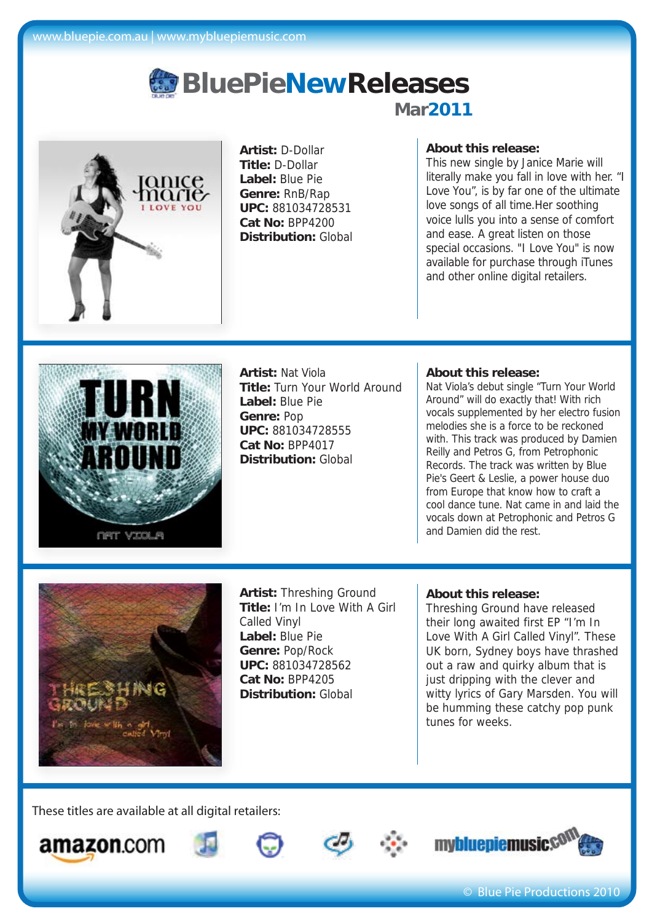

**Artist:** D-Dollar **Title:** D-Dollar **Label:** Blue Pie **Genre:** RnB/Rap **UPC:** 881034728531 **Cat No:** BPP4200 **Distribution:** Global

## **About this release:**

This new single by Janice Marie will literally make you fall in love with her. "I Love You", is by far one of the ultimate love songs of all time.Her soothing voice lulls you into a sense of comfort and ease. A great listen on those special occasions. "I Love You" is now available for purchase through iTunes and other online digital retailers.



**Artist:** Nat Viola **Title:** Turn Your World Around **Label:** Blue Pie **Genre:** Pop **UPC:** 881034728555 **Cat No:** BPP4017 **Distribution:** Global

### **About this release:**

Nat Viola's debut single "Turn Your World Around" will do exactly that! With rich vocals supplemented by her electro fusion melodies she is a force to be reckoned with. This track was produced by Damien Reilly and Petros G, from Petrophonic Records. The track was written by Blue Pie's Geert & Leslie, a power house duo from Europe that know how to craft a cool dance tune. Nat came in and laid the vocals down at Petrophonic and Petros G and Damien did the rest.



**Artist:** Threshing Ground **Title:** I'm In Love With A Girl Called Vinyl **Label:** Blue Pie **Genre:** Pop/Rock **UPC:** 881034728562 **Cat No:** BPP4205 **Distribution:** Global

#### **About this release:**

Threshing Ground have released their long awaited first EP "I'm In Love With A Girl Called Vinyl". These UK born, Sydney boys have thrashed out a raw and quirky album that is just dripping with the clever and witty lyrics of Gary Marsden. You will be humming these catchy pop punk tunes for weeks.









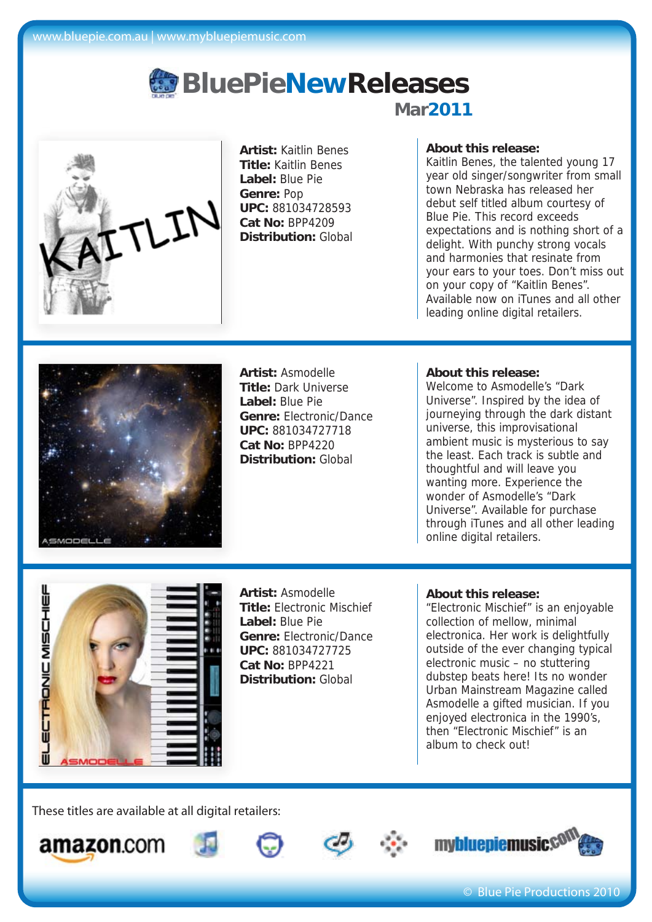

**Artist:** Kaitlin Benes **Title:** Kaitlin Benes **Label:** Blue Pie **Genre:** Pop **UPC:** 881034728593 **Cat No:** BPP4209 **Distribution:** Global

### **About this release:**

Kaitlin Benes, the talented young 17 year old singer/songwriter from small town Nebraska has released her debut self titled album courtesy of Blue Pie. This record exceeds expectations and is nothing short of a delight. With punchy strong vocals and harmonies that resinate from your ears to your toes. Don't miss out on your copy of "Kaitlin Benes". Available now on iTunes and all other leading online digital retailers.



**Artist:** Asmodelle **Title:** Dark Universe **Label:** Blue Pie **Genre:** Electronic/Dance **UPC:** 881034727718 **Cat No:** BPP4220 **Distribution:** Global

### **About this release:**

Welcome to Asmodelle's "Dark Universe". Inspired by the idea of journeying through the dark distant universe, this improvisational ambient music is mysterious to say the least. Each track is subtle and thoughtful and will leave you wanting more. Experience the wonder of Asmodelle's "Dark Universe". Available for purchase through iTunes and all other leading online digital retailers.



**Artist:** Asmodelle **Title:** Electronic Mischief **Label:** Blue Pie **Genre:** Electronic/Dance **UPC:** 881034727725 **Cat No:** BPP4221 **Distribution:** Global

#### **About this release:**

"Electronic Mischief" is an enjoyable collection of mellow, minimal electronica. Her work is delightfully outside of the ever changing typical electronic music – no stuttering dubstep beats here! Its no wonder Urban Mainstream Magazine called Asmodelle a gifted musician. If you enjoyed electronica in the 1990's, then "Electronic Mischief" is an album to check out!









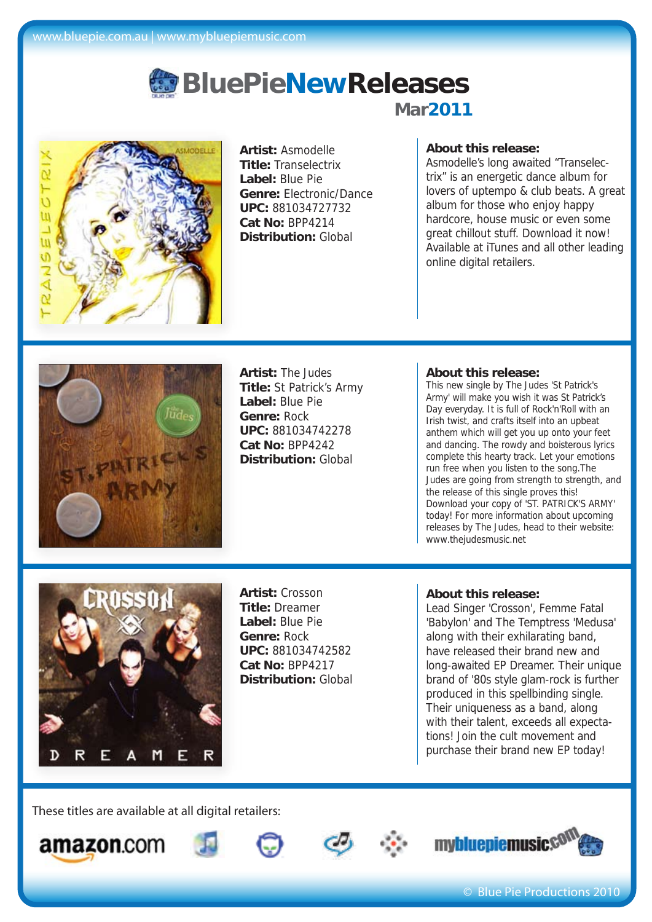

**Artist:** Asmodelle **Title:** Transelectrix **Label:** Blue Pie **Genre:** Electronic/Dance **UPC:** 881034727732 **Cat No:** BPP4214 **Distribution:** Global

### **About this release:**

Asmodelle's long awaited "Transelectrix" is an energetic dance album for lovers of uptempo & club beats. A great album for those who enjoy happy hardcore, house music or even some great chillout stuff. Download it now! Available at iTunes and all other leading online digital retailers.



**Artist:** The Judes **Title:** St Patrick's Army **Label:** Blue Pie **Genre:** Rock **UPC:** 881034742278 **Cat No:** BPP4242 **Distribution:** Global

#### **About this release:**

This new single by The Judes 'St Patrick's Army' will make you wish it was St Patrick's Day everyday. It is full of Rock'n'Roll with an Irish twist, and crafts itself into an upbeat anthem which will get you up onto your feet and dancing. The rowdy and boisterous lyrics complete this hearty track. Let your emotions run free when you listen to the song.The Judes are going from strength to strength, and the release of this single proves this! Download your copy of 'ST. PATRICK'S ARMY' today! For more information about upcoming releases by The Judes, head to their website: www.thejudesmusic.net



**Artist:** Crosson **Title:** Dreamer **Label:** Blue Pie **Genre:** Rock **UPC:** 881034742582 **Cat No:** BPP4217 **Distribution:** Global

#### **About this release:**

Lead Singer 'Crosson', Femme Fatal 'Babylon' and The Temptress 'Medusa' along with their exhilarating band, have released their brand new and long-awaited EP Dreamer. Their unique brand of '80s style glam-rock is further produced in this spellbinding single. Their uniqueness as a band, along with their talent, exceeds all expectations! Join the cult movement and purchase their brand new EP today!